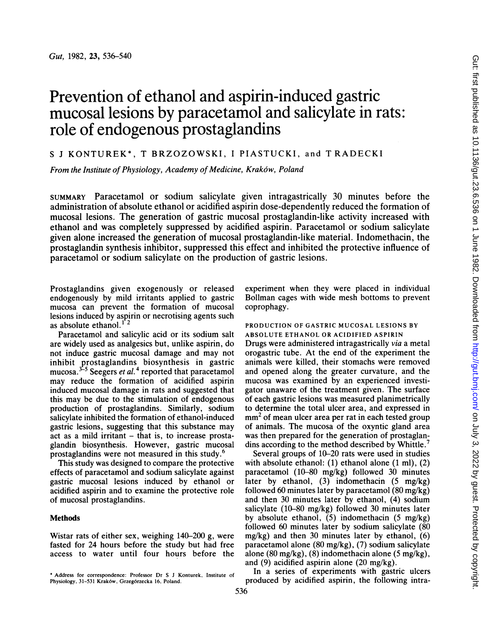# Prevention of ethanol and aspirin-induced gastric mucosal lesions by paracetamol and salicylate in rats: role of endogenous prostaglandins

## <sup>S</sup> <sup>J</sup> KONTUREK\*, T BRZOZOWSKI, <sup>I</sup> PIASTUCKI, and T RADECKI

From the Institute of Physiology, Academy of Medicine, Krak6w, Poland

SUMMARY Paracetamol or sodium salicylate given intragastrically 30 minutes before the administration of absolute ethanol or acidified aspirin dose-dependently reduced the formation of mucosal lesions. The generation of gastric mucosal prostaglandin-like activity increased with ethanol and was completely suppressed by acidified aspirin. Paracetamol or sodium salicylate given alone increased the generation of mucosal prostaglandin-like material. Indomethacin, the prostaglandin synthesis inhibitor, suppressed this effect and inhibited the protective influence of paracetamol or sodium salicylate on the production of gastric lesions.

Prostaglandins given exogenously or released endogenously by mild irritants applied to gastric mucosa can prevent the formation of mucosal lesions induced by aspirin or necrotising agents such as absolute ethanol.<sup>12</sup>

Paracetamol and salicylic acid or its sodium salt are widely used as analgesics but, unlike aspirin, do not induce gastric mucosal damage and may not inhibit prostaglandins biosynthesis in gastric mucosa.<sup>3-5</sup> Seegers *et al.*<sup>4</sup> reported that paracetamol may reduce the formation of acidified aspirin induced mucosal damage in rats and suggested that this may be due to the stimulation of endogenous production of prostaglandins. Similarly, sodium salicylate inhibited the formation of ethanol-induced gastric lesions, suggesting that this substance may  $act$  as a mild irritant  $-$  that is, to increase prostaglandin biosynthesis. However, gastric mucosal prostaglandins were not measured in this study.6

This study was designed to compare the protective effects of paracetamol and sodium salicylate against gastric mucosal lesions induced by ethanol or acidified aspirin and to examine the protective role of mucosal prostaglandins.

#### Methods

Wistar rats of either sex, weighing 140-200 g, were fasted for 24 hours before the study but had free access to water until four hours before the experiment when they were placed in individual Bollman cages with wide mesh bottoms to prevent coprophagy.

### PRODUCTION OF GASTRIC MUCOSAL LESIONS BY ABSOLUTE ETHANOL OR ACIDIFIED ASPIRIN

Drugs were administered intragastrically via a metal orogastric tube. At the end of the experiment the animals were killed, their stomachs were removed and opened along the greater curvature, and the mucosa was examined by an experienced investigator unaware of the treatment given. The surface of each gastric lesions was measured planimetrically to determine the total ulcer area, and expressed in mm<sup>2</sup> of mean ulcer area per rat in each tested group of animals. The mucosa of the oxyntic gland area was then prepared for the generation of prostaglandins according to the method described by Whittle.<sup>7</sup>

Several groups of 10-20 rats were used in studies with absolute ethanol: (1) ethanol alone (1 ml), (2) paracetamol (10-80 mg/kg) followed 30 minutes later by ethanol, (3) indomethacin (5 mg/kg) followed 60 minutes later by paracetamol (80 mg/kg) and then 30 minutes later by ethanol, (4) sodium salicylate (10-80 mg/kg) followed 30 minutes later by absolute ethanol, (5) indomethacin (5 mg/kg) followed 60 minutes later by sodium salicylate (80 mg/kg) and then 30 minutes later by ethanol, (6) paracetamol alone (80 mg/kg), (7) sodium salicylate alone  $(80 \text{ mg/kg})$ ,  $(8)$  indomethacin alone  $(5 \text{ mg/kg})$ , and (9) acidified aspirin alone (20 mg/kg).

In a series of experiments with gastric ulcers produced by acidified aspirin, the following intra-

Address for correspondence: Professor Dr S <sup>J</sup> Konturek, Institute of Physiology, 31-531 Krak6w, Grzeg6rzecka 16. Poland.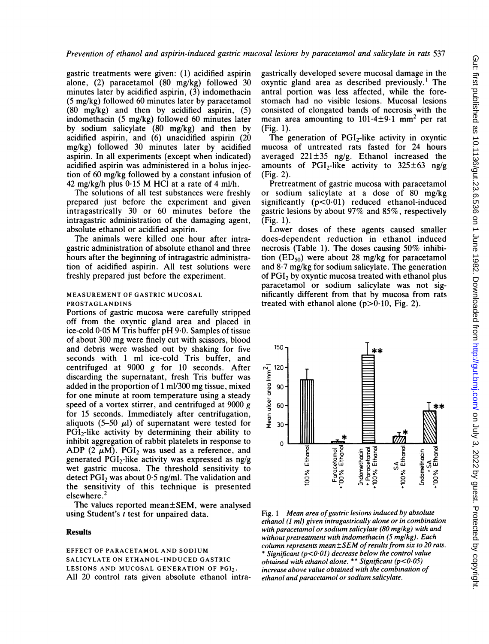gastric treatments were given: (1) acidified aspirin alone, (2) paracetamol (80 mg/kg) followed 30 minutes later by acidified aspirin,  $(3)$  indomethacin (5 mg/kg) followed 60 minutes later by paracetamol  $(80 \text{ mg/kg})$  and then by acidified aspirin,  $(5)$ indomethacin (5 mg/kg) followed 60 minutes later by sodium salicylate (80 mg/kg) and then by acidified aspirin, and (6) unacidified aspirin (20 mg/kg) followed 30 minutes later by acidified aspirin. In all experiments (except when indicated) acidified aspirin was administered in a bolus injection of 60 mg/kg followed by a constant infusion of 42 mg/kg/h plus  $0.15$  M HCl at a rate of 4 ml/h.

The solutions of all test substances were freshly prepared just before the experiment and given intragastrically 30 or 60 minutes before the intragastric administration of the damaging agent, absolute ethanol or acidified aspirin.

The animals were killed one hour after intragastric administration of absolute ethanol and three hours after the beginning of intragastric administration of acidified aspirin. All test solutions were freshly prepared just before the experiment.

### MEASUREMENT OF GASTRIC MUCOSAL PROSTAGLANDINS

Portions of gastric mucosa were carefully stripped off from the oxyntic gland area and placed in ice-cold 0.05 M Tris buffer pH 9.0. Samples of tissue of about 300 mg were finely cut with scissors, blood and debris were washed out by shaking for five seconds with <sup>1</sup> ml ice-cold Tris buffer, and centrifuged at  $9000$  g for 10 seconds. After discarding the supernatant, fresh Tris buffer was added in the proportion of <sup>1</sup> ml/300 mg tissue, mixed for one minute at room temperature using a steady speed of a vortex stirrer, and centrifuged at 9000 g for 15 seconds. Immediately after centrifugation, aliquots (5–50  $\mu$ l) of supernatant were tested for PGI<sub>2</sub>-like activity by determining their ability to inhibit aggregation of rabbit platelets in response to ADP (2  $\mu$ M). PGI<sub>2</sub> was used as a reference, and generated PGI<sub>2</sub>-like activity was expressed as  $ng/g$ wet gastric mucosa. The threshold sensitivity to detect  $PGI_2$  was about  $0.5$  ng/ml. The validation and the sensitivity of this technique is presented elsewhere. <sup>2</sup>

The values reported mean±SEM, were analysed using Student's t test for unpaired data.

## Results

EFFECT OF PARACETAMOL AND SODIUM SALICYLATE ON ETHANOL-INDUCED GASTRIC LESIONS AND MUCOSAL GENERATION OF PGI2. All 20 control rats given absolute ethanol intragastrically developed severe mucosal damage in the oxyntic gland area as described previously.' The antral portion was less affected, while the forestomach had no visible lesions. Mucosal lesions consisted of elongated bands of necrosis with the mean area amounting to  $101.4 \pm 9.1$  mm<sup>2</sup> per rat (Fig. 1).

The generation of  $PGI<sub>2</sub>$ -like activity in oxyntic mucosa of untreated rats fasted for 24 hours averaged  $221 \pm 35$  ng/g. Ethanol increased the amounts of PGI<sub>2</sub>-like activity to  $325\pm63$  ng/g (Fig. 2).

Pretreatment of gastric mucosa with paracetamol or sodium salicylate at a dose of 80 mg/kg significantly  $(p<0.01)$  reduced ethanol-induced gastric lesions by about 97% and 85%, respectively (Fig. 1).

Lower doses of these agents caused smaller does-dependent reduction in ethanol induced necrosis (Table 1). The doses causing 50% inhibition  $(ED_{50})$  were about 28 mg/kg for paracetamol and 8.7 mg/kg for sodium salicylate. The generation of PGI<sub>2</sub> by oxyntic mucosa treated with ethanol plus paracetamol or sodium salicylate was not significantly different from that by mucosa from rats treated with ethanol alone  $(p>0.10,$  Fig. 2).



Fig. 1 Mean area of gastric lesions induced by absolute ethanol (1 ml) given intragastrically alone or in combination with paracetamol or sodium salicylate  $(80 \text{ mg/kg})$  with and without pretreatment with indomethacin  $(5 \text{ mg/kg})$ . Each column represents mean $\pm$ SEM of results from six to 20 rats. \* Significant ( $p$ <0.01) decrease below the control value obtained with ethanol alone. \*\* Significant (p<0-05) increase above value obtained with the combination of ethanol and paracetamol or sodium salicylate.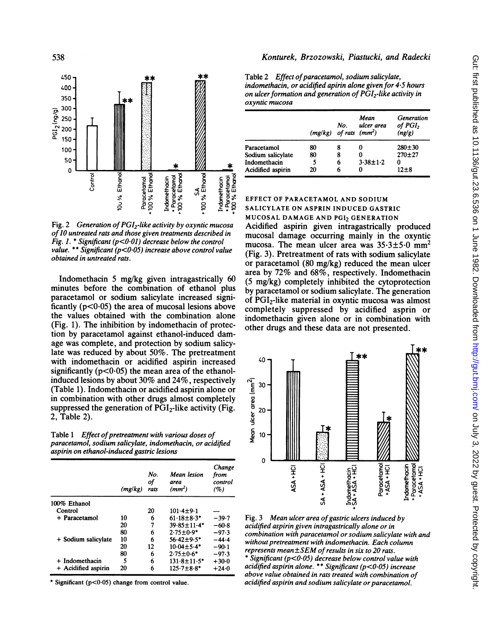

Fig. 2 Generation of  $PGI<sub>2</sub>$ -like activity by oxyntic mucosa of10 untreated rats and those given treatments described in Fig. 1. \* Significant ( $p$ <0.01) decrease below the control value. \*\* Significant ( $p < 0.05$ ) increase above control value obtained in untreated rats.

Indomethacin 5 mg/kg given intragastrically 60 minutes before the combination of ethanol plus paracetamol or sodium salicylate increased significantly  $(p<0.05)$  the area of mucosal lesions above the values obtained with the combination alone (Fig. 1). The inhibition by indomethacin of protection by paracetamol against ethanol-induced damage was complete, and protection by sodium salicylate was reduced by about 50%. The pretreatment with indomethacin or acidified aspirin increased significantly ( $p<0.05$ ) the mean area of the ethanolinduced lesions by about 30% and 24%, respectively (Table 1). Indomethacin or acidified aspirin alone or in combination with other drugs almost completely suppressed the generation of  $\overline{PGI_2}$ -like activity (Fig. 2, Table 2).

Table 1 Effect of pretreatment with various doses of paracetamol, sodium salicylate, indomethacin, or acidified aspirin on ethanol-induced gastric lesions

|                     | (mg/kg) | No.<br>of<br>rats | Mean lesion<br>area<br>(mm <sup>2</sup> ) | Change<br>from<br>control<br>(%) |
|---------------------|---------|-------------------|-------------------------------------------|----------------------------------|
| 100% Ethanol        |         |                   |                                           |                                  |
| Control             |         | 20                | $101.4 + 9.1$                             |                                  |
| + Paracetamol       | 10      | 6                 | $61.18 \pm 8.3*$                          | $-39.7$                          |
|                     | 20      | 7                 | $39.85 \pm 11.4*$                         | $-60.8$                          |
|                     | 80      | 6                 | $2.75 \pm 0.9*$                           | $-97.3$                          |
| + Sodium salicylate | 10      | 6                 | $56.42 + 9.5*$                            | -44-4                            |
|                     | 20      | 12                | $10.04 + 5.4*$                            | $-90-1$                          |
|                     | 80      | 6                 | $2.75 \pm 0.6*$                           | $-97.3$                          |
| + Indomethacin      | 5       | 6                 | $131.8 \pm 11.5$ *                        | $+30.0$                          |
| + Acidified aspirin | 20      | 6                 | $125.7 \pm 8.8$ *                         | $+24.0$                          |

\* Significant  $(p<0.05)$  change from control value.

## Konturek, Brzozowski, Piastucki, and Radecki

Table 2 Effect of paracetamol, sodium salicylate, indomethacin, or acidified apirin alone given for 45 hours on ulcer formation and generation of  $\overline{PGI_2}$ -like activity in oxyntic mucosa

|                   | $(mg/kg)$ of rats $(mm^2)$ | No. | Mean<br>ulcer area | Generation<br>of PGI <sub>2</sub><br>(ng/g) |
|-------------------|----------------------------|-----|--------------------|---------------------------------------------|
| Paracetamol       | 80                         | 8   |                    | $280 - 30$                                  |
| Sodium salicylate | 80                         | 8   |                    | $270 + 27$                                  |
| Indomethacin      |                            | 6   | $3.38 \pm 1.2$     | 0                                           |
| Acidified aspirin | 20                         | 6   |                    | 17+8                                        |

## EFFECT OF PARACETAMOL AND SODIUM SALICYLATE ON ASPRIN INDUCED GASTRIC

MUCOSAL DAMAGE AND PGI<sub>2</sub> GENERATION Acidified aspirin given intragastrically produced mucosal damage occurring mainly in the oxyntic mucosa. The mean ulcer area was  $35.3 \pm 5.0$  mm<sup>2</sup> (Fig. 3). Pretreatment of rats with sodium salicylate or paracetamol (80 mg/kg) reduced the mean ulcer area by 72% and 68%, respectively. Indomethacin (5 mg/kg) completely inhibited the cytoprotection by paracetamol or sodium salicylate. The generation of PGI2-like material in oxyntic mucosa was almost completely suppressed by acidified asprin or indomethacin given alone or in combination with other drugs and these data are not presented.



Fig. 3 Mean ulcer area of gastric ulcers induced by acidified aspirin given intragastrically alone or in combination with paracetamol or sodium salicylate with and without pretreatment with indomethacin. Each column represents mean±SEM of results in six to 20 rats.  $\delta$  Significant (p<0.05) decrease below control value with acidified aspirin alone. \*\* Significant ( $p$ <0.05) increase above value obtained in rats treated with combination of

acidified aspirin and sodium salicylate or paracetamol.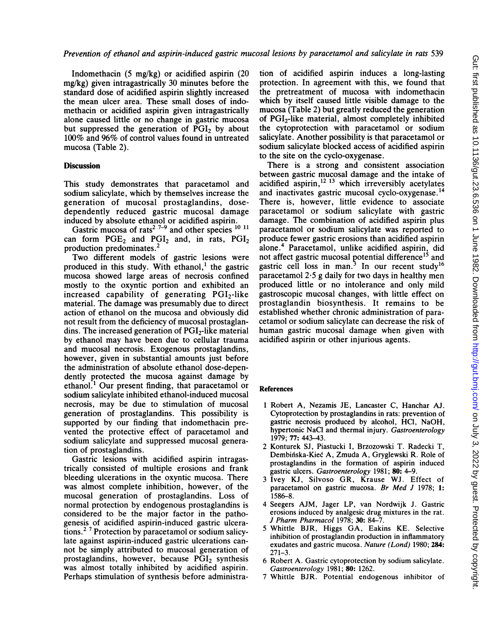Indomethacin (5 mg/kg) or acidified aspirin (20 mg/kg) given intragastrically 30 minutes before the standard dose of acidified aspirin slightly increased the mean ulcer area. These small doses of indomethacin or acidified aspirin given intragastrically alone caused little or no change in gastric mucosa but suppressed the generation of  $\overline{PGI}_2$  by about 100% and 96% of control values found in untreated mucosa (Table 2).

#### **Discussion**

This study demonstrates that paracetamol and sodium salicylate, which by themselves increase the generation of mucosal prostaglandins, dosedependently reduced gastric mucosal damage induced by absolute ethanol or acidified aspirin.

Gastric mucosa of rats<sup>2 7-9</sup> and other species  $^{10}$  <sup>11</sup> can form  $PGE_2$  and  $PGI_2$  and, in rats,  $PGI_2$ production predominates.<sup>2</sup>

Two different models of gastric lesions were produced in this study. With ethanol,<sup>1</sup> the gastric mucosa showed large areas of necrosis confined mostly to the oxyntic portion and exhibited an increased capability of generating  $PGI<sub>2</sub>$ -like material. The damage was presumably due to direct action of ethanol on the mucosa and obviously did not result from the deficiency of mucosal prostaglandins. The increased generation of  $PGI<sub>2</sub>$ -like material by ethanol may have been due to cellular trauma and mucosal necrosis. Exogenous prostaglandins, however, given in substantial amounts just before the administration of absolute ethanol dose-dependently protected the mucosa against damage by ethanol.<sup>1</sup> Our present finding, that paracetamol or sodium salicylate inhibited ethanol-induced mucosal necrosis, may be due to stimulation of mucosal generation of prostaglandins. This possibility is supported by our finding that indomethacin prevented the protective effect of paracetamol and sodium salicylate and suppressed mucosal generation of prostaglandins.

Gastric lesions with acidified aspirin intragastrically consisted of multiple erosions and frank bleeding ulcerations in the oxyntic mucosa. There was almost complete inhibition, however, of the mucosal generation of prostaglandins. Loss of normal protection by endogenous prostaglandins is considered to be the major factor in the pathogenesis of acidified aspirin-induced gastric ulcerations.2 <sup>7</sup> Protection by paracetamol or sodium salicylate against aspirin-induced gastric ulcerations cannot be simply attributed to mucosal generation of prostaglandins, however, because  $\overline{PGI}_2$  synthesis was almost totally inhibited by acidified aspirin. Perhaps stimulation of synthesis before administration of acidified aspirin induces a long-lasting protection. In agreement with this, we found that the pretreatment of mucosa with indomethacin which by itself caused little visible damage to the mucosa (Table 2) but greatly reduced the generation of PGI<sub>2</sub>-like material, almost completely inhibited the cytoprotection with paracetamol or sodium salicylate. Another possibility is that paracetamol or sodium salicylate blocked access of acidified aspirin to the site on the cyclo-oxygenase.

There is a strong and consistent association between gastric mucosal damage and the intake of acidified aspirin, $^{12}$  13 which irreversibly acetylates and inactivates gastric mucosal cyclo-oxygenase.<sup>14</sup> There is, however, little evidence to associate paracetamol or sodium salicylate with gastric damage. The combination of acidified aspirin plus paracetamol or sodium salicylate was reported to produce fewer gastric erosions than acidified aspirin alone.4 Paracetamol, unlike acidified aspirin, did not affect gastric mucosal potential difference<sup>15</sup> and gastric cell loss in man.<sup>3</sup> In our recent study<sup>16</sup> paracetamol 2.5 g daily for two days in healthy men produced little or no intolerance and only mild gastroscopic mucosal changes, with little effect on prostaglandin biosynthesis. It remains to be established whether chronic administration of paracetamol or sodium salicylate can decrease the risk of human gastric mucosal damage when given with acidified aspirin or other injurious agents.

#### References

- <sup>1</sup> Robert A, Nezamis JE, Lancaster C, Hanchar AJ. Cytoprotection by prostaglandins in rats: prevention of gastric necrosis produced by alcohol, HCI, NaOH, hypertonic NaCI and thermal injury. Gastroenterology 1979; 77: 443-43.
- 2 Konturek SJ, Piastucki I, Brzozowski T. Radecki T, Dembiniska-Kiec A, Zmuda A, Gryglewski R. Role of prostaglandins in the formation of aspirin induced gastric ulcers. Gastroenterology 1981; 80: 4-9.
- <sup>3</sup> Ivey KJ, Silvoso GR, Krause WJ. Effect of paracetamol on gastric mucosa. Br Med J 1978; 1: 1586-8.
- 4 Seegers AJM, Jager LP, van Nordwijk J. Gastric erosions induced by analgesic drug mixtures in the rat. J Pharm Pharmacol 1978; 30: 84-7.
- <sup>5</sup> Whittle BJR, Higgs GA, Eakins KE. Selective inhibition of prostaglandin production in inflammatory exudates and gastric mucosa. Nature (Lond) 1980; 284: 271-3.
- 6 Robert A. Gastric cytoprotection by sodium salicylate. Gastroenterology 1981; 80: 1262.
- 7 Whittle BJR. Potential endogenous inhibitor of